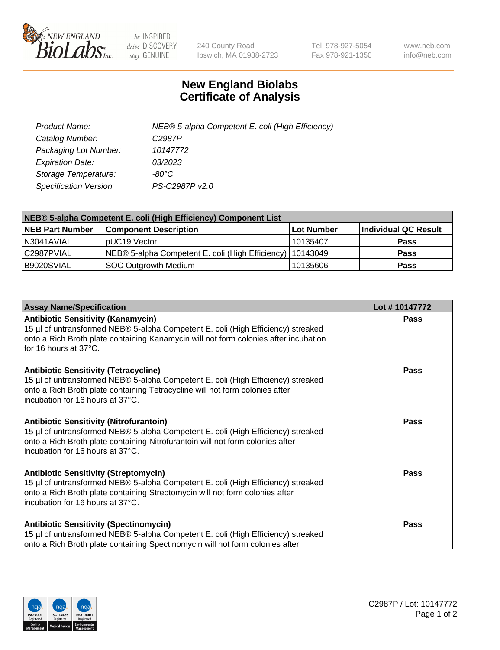

 $be$  INSPIRED drive DISCOVERY stay GENUINE

240 County Road Ipswich, MA 01938-2723 Tel 978-927-5054 Fax 978-921-1350 www.neb.com info@neb.com

## **New England Biolabs Certificate of Analysis**

| Product Name:                 | NEB® 5-alpha Competent E. coli (High Efficiency) |
|-------------------------------|--------------------------------------------------|
| Catalog Number:               | C <sub>2987</sub> P                              |
| Packaging Lot Number:         | 10147772                                         |
| <b>Expiration Date:</b>       | 03/2023                                          |
| Storage Temperature:          | -80°C                                            |
| <b>Specification Version:</b> | PS-C2987P v2.0                                   |

| NEB® 5-alpha Competent E. coli (High Efficiency) Component List |                                                             |            |                      |  |
|-----------------------------------------------------------------|-------------------------------------------------------------|------------|----------------------|--|
| <b>NEB Part Number</b>                                          | <b>Component Description</b>                                | Lot Number | Individual QC Result |  |
| N3041AVIAL                                                      | pUC19 Vector                                                | 10135407   | <b>Pass</b>          |  |
| C2987PVIAL                                                      | NEB® 5-alpha Competent E. coli (High Efficiency)   10143049 |            | <b>Pass</b>          |  |
| B9020SVIAL                                                      | <b>SOC Outgrowth Medium</b>                                 | 10135606   | <b>Pass</b>          |  |

| <b>Assay Name/Specification</b>                                                                                                                                                                                                                          | Lot #10147772 |
|----------------------------------------------------------------------------------------------------------------------------------------------------------------------------------------------------------------------------------------------------------|---------------|
| <b>Antibiotic Sensitivity (Kanamycin)</b><br>15 µl of untransformed NEB® 5-alpha Competent E. coli (High Efficiency) streaked<br>onto a Rich Broth plate containing Kanamycin will not form colonies after incubation<br>for 16 hours at 37°C.           | <b>Pass</b>   |
| <b>Antibiotic Sensitivity (Tetracycline)</b><br>15 µl of untransformed NEB® 5-alpha Competent E. coli (High Efficiency) streaked<br>onto a Rich Broth plate containing Tetracycline will not form colonies after<br>incubation for 16 hours at 37°C.     | Pass          |
| <b>Antibiotic Sensitivity (Nitrofurantoin)</b><br>15 µl of untransformed NEB® 5-alpha Competent E. coli (High Efficiency) streaked<br>onto a Rich Broth plate containing Nitrofurantoin will not form colonies after<br>incubation for 16 hours at 37°C. | Pass          |
| <b>Antibiotic Sensitivity (Streptomycin)</b><br>15 µl of untransformed NEB® 5-alpha Competent E. coli (High Efficiency) streaked<br>onto a Rich Broth plate containing Streptomycin will not form colonies after<br>incubation for 16 hours at 37°C.     | Pass          |
| <b>Antibiotic Sensitivity (Spectinomycin)</b><br>15 µl of untransformed NEB® 5-alpha Competent E. coli (High Efficiency) streaked<br>onto a Rich Broth plate containing Spectinomycin will not form colonies after                                       | Pass          |